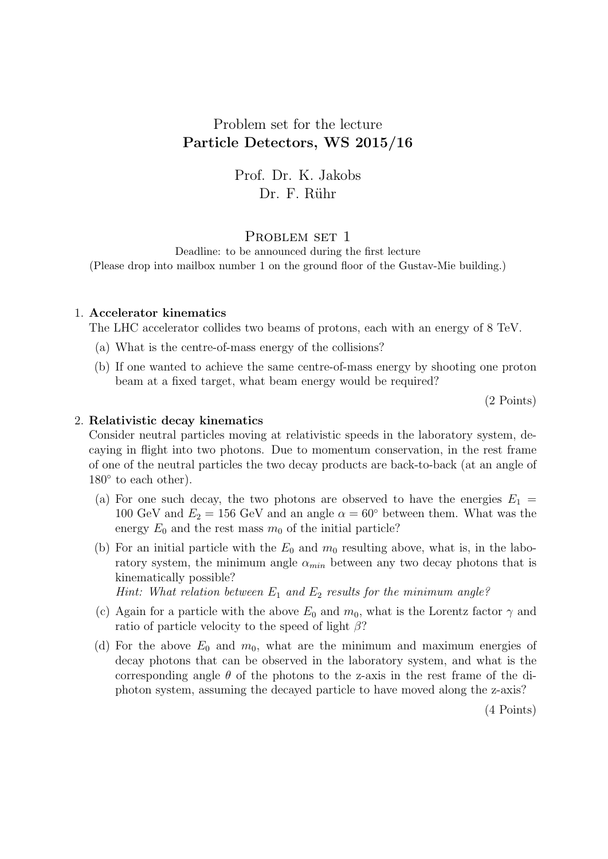## Problem set for the lecture Particle Detectors, WS 2015/16

# Prof. Dr. K. Jakobs Dr. F. Rühr

## PROBLEM SET 1

Deadline: to be announced during the first lecture (Please drop into mailbox number 1 on the ground floor of the Gustav-Mie building.)

#### 1. Accelerator kinematics

The LHC accelerator collides two beams of protons, each with an energy of 8 TeV.

- (a) What is the centre-of-mass energy of the collisions?
- (b) If one wanted to achieve the same centre-of-mass energy by shooting one proton beam at a fixed target, what beam energy would be required?

(2 Points)

#### 2. Relativistic decay kinematics

Consider neutral particles moving at relativistic speeds in the laboratory system, decaying in flight into two photons. Due to momentum conservation, in the rest frame of one of the neutral particles the two decay products are back-to-back (at an angle of 180 $<sup>°</sup>$  to each other).</sup>

- (a) For one such decay, the two photons are observed to have the energies  $E_1 =$ 100 GeV and  $E_2 = 156$  GeV and an angle  $\alpha = 60^{\circ}$  between them. What was the energy  $E_0$  and the rest mass  $m_0$  of the initial particle?
- (b) For an initial particle with the  $E_0$  and  $m_0$  resulting above, what is, in the laboratory system, the minimum angle  $\alpha_{min}$  between any two decay photons that is kinematically possible?

Hint: What relation between  $E_1$  and  $E_2$  results for the minimum angle?

- (c) Again for a particle with the above  $E_0$  and  $m_0$ , what is the Lorentz factor  $\gamma$  and ratio of particle velocity to the speed of light  $\beta$ ?
- (d) For the above  $E_0$  and  $m_0$ , what are the minimum and maximum energies of decay photons that can be observed in the laboratory system, and what is the corresponding angle  $\theta$  of the photons to the z-axis in the rest frame of the diphoton system, assuming the decayed particle to have moved along the z-axis?

(4 Points)